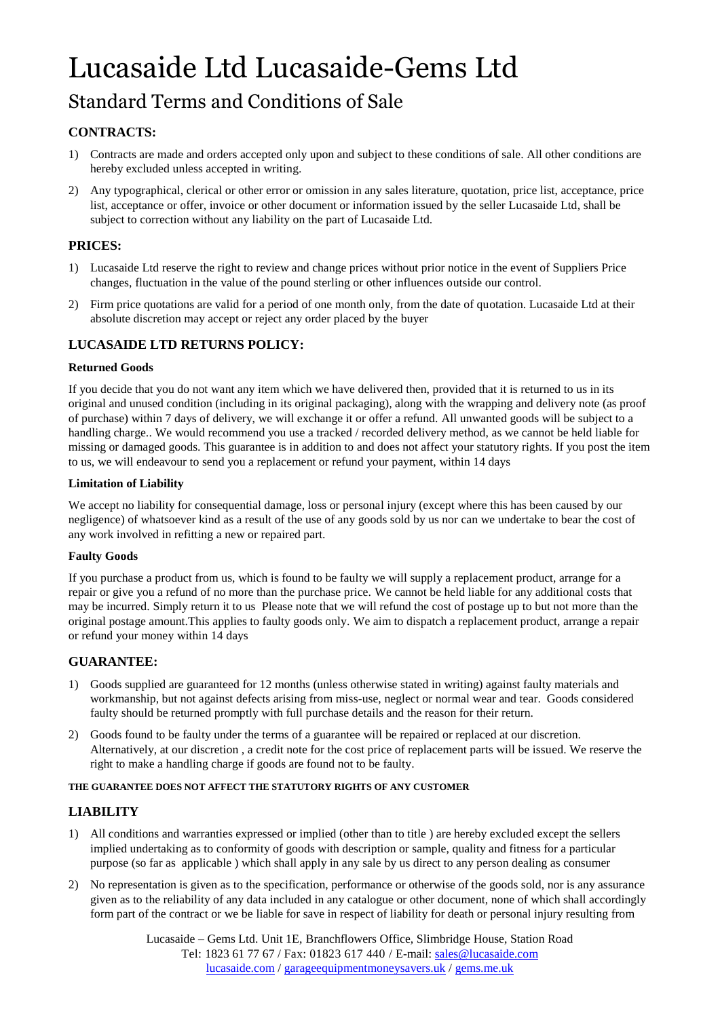# Lucasaide Ltd Lucasaide-Gems Ltd

# Standard Terms and Conditions of Sale

# **CONTRACTS:**

- 1) Contracts are made and orders accepted only upon and subject to these conditions of sale. All other conditions are hereby excluded unless accepted in writing.
- 2) Any typographical, clerical or other error or omission in any sales literature, quotation, price list, acceptance, price list, acceptance or offer, invoice or other document or information issued by the seller Lucasaide Ltd, shall be subject to correction without any liability on the part of Lucasaide Ltd.

# **PRICES:**

- 1) Lucasaide Ltd reserve the right to review and change prices without prior notice in the event of Suppliers Price changes, fluctuation in the value of the pound sterling or other influences outside our control.
- 2) Firm price quotations are valid for a period of one month only, from the date of quotation. Lucasaide Ltd at their absolute discretion may accept or reject any order placed by the buyer

# **LUCASAIDE LTD RETURNS POLICY:**

# **Returned Goods**

If you decide that you do not want any item which we have delivered then, provided that it is returned to us in its original and unused condition (including in its original packaging), along with the wrapping and delivery note (as proof of purchase) within 7 days of delivery, we will exchange it or offer a refund. All unwanted goods will be subject to a handling charge.. We would recommend you use a tracked / recorded delivery method, as we cannot be held liable for missing or damaged goods. This guarantee is in addition to and does not affect your statutory rights. If you post the item to us, we will endeavour to send you a replacement or refund your payment, within 14 days

#### **Limitation of Liability**

We accept no liability for consequential damage, loss or personal injury (except where this has been caused by our negligence) of whatsoever kind as a result of the use of any goods sold by us nor can we undertake to bear the cost of any work involved in refitting a new or repaired part.

#### **Faulty Goods**

If you purchase a product from us, which is found to be faulty we will supply a replacement product, arrange for a repair or give you a refund of no more than the purchase price. We cannot be held liable for any additional costs that may be incurred. Simply return it to us Please note that we will refund the cost of postage up to but not more than the original postage amount.This applies to faulty goods only. We aim to dispatch a replacement product, arrange a repair or refund your money within 14 days

# **GUARANTEE:**

- 1) Goods supplied are guaranteed for 12 months (unless otherwise stated in writing) against faulty materials and workmanship, but not against defects arising from miss-use, neglect or normal wear and tear. Goods considered faulty should be returned promptly with full purchase details and the reason for their return.
- 2) Goods found to be faulty under the terms of a guarantee will be repaired or replaced at our discretion. Alternatively, at our discretion , a credit note for the cost price of replacement parts will be issued. We reserve the right to make a handling charge if goods are found not to be faulty.

#### **THE GUARANTEE DOES NOT AFFECT THE STATUTORY RIGHTS OF ANY CUSTOMER**

# **LIABILITY**

- 1) All conditions and warranties expressed or implied (other than to title ) are hereby excluded except the sellers implied undertaking as to conformity of goods with description or sample, quality and fitness for a particular purpose (so far as applicable ) which shall apply in any sale by us direct to any person dealing as consumer
- 2) No representation is given as to the specification, performance or otherwise of the goods sold, nor is any assurance given as to the reliability of any data included in any catalogue or other document, none of which shall accordingly form part of the contract or we be liable for save in respect of liability for death or personal injury resulting from

Lucasaide – Gems Ltd. Unit 1E, Branchflowers Office, Slimbridge House, Station Road Tel: 1823 61 77 67 / Fax: 01823 617 440 / E-mail: sales@lucasaide.com lucasaide.com / garageequipmentmoneysavers.uk / gems.me.uk